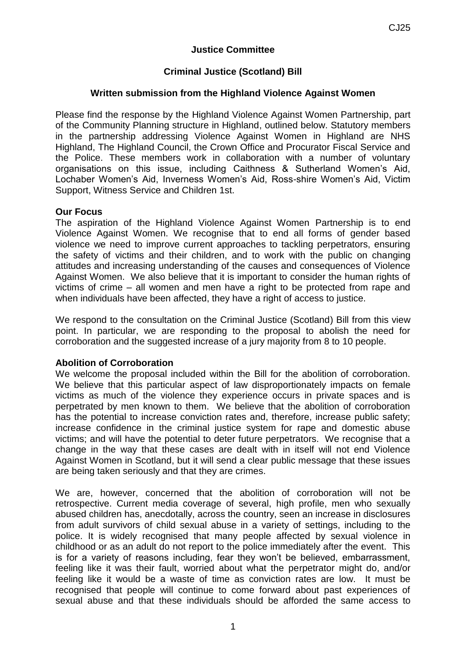## **Justice Committee**

# **Criminal Justice (Scotland) Bill**

## **Written submission from the Highland Violence Against Women**

Please find the response by the Highland Violence Against Women Partnership, part of the Community Planning structure in Highland, outlined below. Statutory members in the partnership addressing Violence Against Women in Highland are NHS Highland, The Highland Council, the Crown Office and Procurator Fiscal Service and the Police. These members work in collaboration with a number of voluntary organisations on this issue, including Caithness & Sutherland Women's Aid, Lochaber Women's Aid, Inverness Women's Aid, Ross-shire Women's Aid, Victim Support, Witness Service and Children 1st.

## **Our Focus**

The aspiration of the Highland Violence Against Women Partnership is to end Violence Against Women. We recognise that to end all forms of gender based violence we need to improve current approaches to tackling perpetrators, ensuring the safety of victims and their children, and to work with the public on changing attitudes and increasing understanding of the causes and consequences of Violence Against Women. We also believe that it is important to consider the human rights of victims of crime – all women and men have a right to be protected from rape and when individuals have been affected, they have a right of access to justice.

We respond to the consultation on the Criminal Justice (Scotland) Bill from this view point. In particular, we are responding to the proposal to abolish the need for corroboration and the suggested increase of a jury majority from 8 to 10 people.

#### **Abolition of Corroboration**

We welcome the proposal included within the Bill for the abolition of corroboration. We believe that this particular aspect of law disproportionately impacts on female victims as much of the violence they experience occurs in private spaces and is perpetrated by men known to them. We believe that the abolition of corroboration has the potential to increase conviction rates and, therefore, increase public safety; increase confidence in the criminal justice system for rape and domestic abuse victims; and will have the potential to deter future perpetrators. We recognise that a change in the way that these cases are dealt with in itself will not end Violence Against Women in Scotland, but it will send a clear public message that these issues are being taken seriously and that they are crimes.

We are, however, concerned that the abolition of corroboration will not be retrospective. Current media coverage of several, high profile, men who sexually abused children has, anecdotally, across the country, seen an increase in disclosures from adult survivors of child sexual abuse in a variety of settings, including to the police. It is widely recognised that many people affected by sexual violence in childhood or as an adult do not report to the police immediately after the event. This is for a variety of reasons including, fear they won't be believed, embarrassment, feeling like it was their fault, worried about what the perpetrator might do, and/or feeling like it would be a waste of time as conviction rates are low. It must be recognised that people will continue to come forward about past experiences of sexual abuse and that these individuals should be afforded the same access to